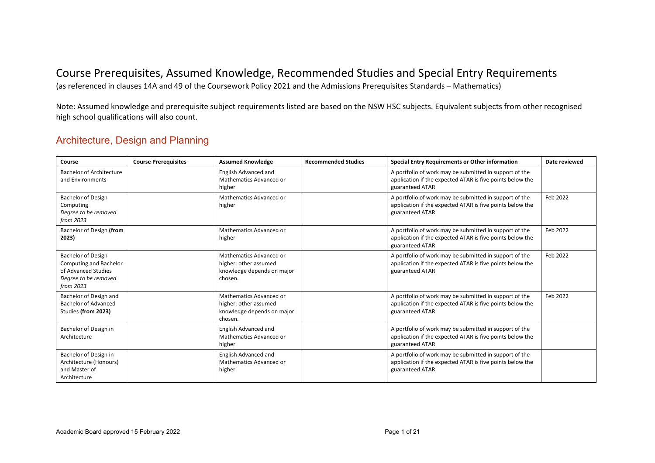## Course Prerequisites, Assumed Knowledge, Recommended Studies and Special Entry Requirements

(as referenced in clauses 14A and 49 of the Coursework Policy 2021 and the Admissions Prerequisites Standards – Mathematics)

Note: Assumed knowledge and prerequisite subject requirements listed are based on the NSW HSC subjects. Equivalent subjects from other recognised high school qualifications will also count.

#### Architecture, Design and Planning

| Course                                                                                                   | <b>Course Prerequisites</b> | <b>Assumed Knowledge</b>                                                                  | <b>Recommended Studies</b> | <b>Special Entry Requirements or Other information</b>                                                                                 | Date reviewed |
|----------------------------------------------------------------------------------------------------------|-----------------------------|-------------------------------------------------------------------------------------------|----------------------------|----------------------------------------------------------------------------------------------------------------------------------------|---------------|
| <b>Bachelor of Architecture</b><br>and Environments                                                      |                             | English Advanced and<br>Mathematics Advanced or<br>higher                                 |                            | A portfolio of work may be submitted in support of the<br>application if the expected ATAR is five points below the<br>guaranteed ATAR |               |
| Bachelor of Design<br>Computing<br>Degree to be removed<br>from 2023                                     |                             | Mathematics Advanced or<br>higher                                                         |                            | A portfolio of work may be submitted in support of the<br>application if the expected ATAR is five points below the<br>guaranteed ATAR | Feb 2022      |
| Bachelor of Design (from<br>2023)                                                                        |                             | Mathematics Advanced or<br>higher                                                         |                            | A portfolio of work may be submitted in support of the<br>application if the expected ATAR is five points below the<br>guaranteed ATAR | Feb 2022      |
| Bachelor of Design<br>Computing and Bachelor<br>of Advanced Studies<br>Degree to be removed<br>from 2023 |                             | Mathematics Advanced or<br>higher; other assumed<br>knowledge depends on major<br>chosen. |                            | A portfolio of work may be submitted in support of the<br>application if the expected ATAR is five points below the<br>guaranteed ATAR | Feb 2022      |
| Bachelor of Design and<br><b>Bachelor of Advanced</b><br>Studies (from 2023)                             |                             | Mathematics Advanced or<br>higher; other assumed<br>knowledge depends on major<br>chosen. |                            | A portfolio of work may be submitted in support of the<br>application if the expected ATAR is five points below the<br>guaranteed ATAR | Feb 2022      |
| Bachelor of Design in<br>Architecture                                                                    |                             | English Advanced and<br>Mathematics Advanced or<br>higher                                 |                            | A portfolio of work may be submitted in support of the<br>application if the expected ATAR is five points below the<br>guaranteed ATAR |               |
| Bachelor of Design in<br>Architecture (Honours)<br>and Master of<br>Architecture                         |                             | English Advanced and<br>Mathematics Advanced or<br>higher                                 |                            | A portfolio of work may be submitted in support of the<br>application if the expected ATAR is five points below the<br>guaranteed ATAR |               |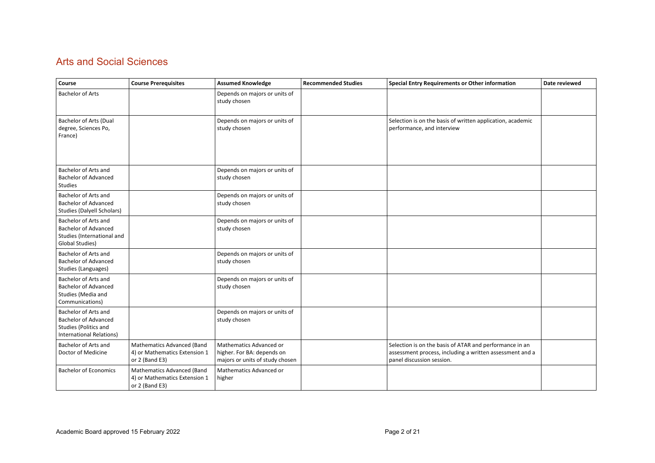## Arts and Social Sciences

| Course                                                                                                          | <b>Course Prerequisites</b>                                                   | <b>Assumed Knowledge</b>                                                                 | <b>Recommended Studies</b> | <b>Special Entry Requirements or Other information</b>                                                                                           | Date reviewed |
|-----------------------------------------------------------------------------------------------------------------|-------------------------------------------------------------------------------|------------------------------------------------------------------------------------------|----------------------------|--------------------------------------------------------------------------------------------------------------------------------------------------|---------------|
| <b>Bachelor of Arts</b>                                                                                         |                                                                               | Depends on majors or units of<br>study chosen                                            |                            |                                                                                                                                                  |               |
| Bachelor of Arts (Dual<br>degree, Sciences Po,<br>France)                                                       |                                                                               | Depends on majors or units of<br>study chosen                                            |                            | Selection is on the basis of written application, academic<br>performance, and interview                                                         |               |
| Bachelor of Arts and<br><b>Bachelor of Advanced</b><br><b>Studies</b>                                           |                                                                               | Depends on majors or units of<br>study chosen                                            |                            |                                                                                                                                                  |               |
| Bachelor of Arts and<br><b>Bachelor of Advanced</b><br><b>Studies (Dalyell Scholars)</b>                        |                                                                               | Depends on majors or units of<br>study chosen                                            |                            |                                                                                                                                                  |               |
| Bachelor of Arts and<br><b>Bachelor of Advanced</b><br>Studies (International and<br>Global Studies)            |                                                                               | Depends on majors or units of<br>study chosen                                            |                            |                                                                                                                                                  |               |
| Bachelor of Arts and<br><b>Bachelor of Advanced</b><br>Studies (Languages)                                      |                                                                               | Depends on majors or units of<br>study chosen                                            |                            |                                                                                                                                                  |               |
| Bachelor of Arts and<br><b>Bachelor of Advanced</b><br>Studies (Media and<br>Communications)                    |                                                                               | Depends on majors or units of<br>study chosen                                            |                            |                                                                                                                                                  |               |
| Bachelor of Arts and<br><b>Bachelor of Advanced</b><br>Studies (Politics and<br><b>International Relations)</b> |                                                                               | Depends on majors or units of<br>study chosen                                            |                            |                                                                                                                                                  |               |
| Bachelor of Arts and<br>Doctor of Medicine                                                                      | Mathematics Advanced (Band<br>4) or Mathematics Extension 1<br>or 2 (Band E3) | Mathematics Advanced or<br>higher. For BA: depends on<br>majors or units of study chosen |                            | Selection is on the basis of ATAR and performance in an<br>assessment process, including a written assessment and a<br>panel discussion session. |               |
| <b>Bachelor of Economics</b>                                                                                    | Mathematics Advanced (Band<br>4) or Mathematics Extension 1<br>or 2 (Band E3) | Mathematics Advanced or<br>higher                                                        |                            |                                                                                                                                                  |               |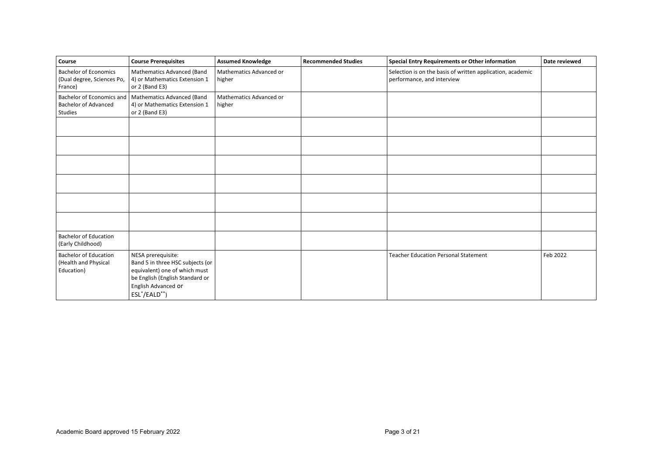| Course                                                                | <b>Course Prerequisites</b>                                                                                                                                             | <b>Assumed Knowledge</b>          | <b>Recommended Studies</b> | <b>Special Entry Requirements or Other information</b>                                   | Date reviewed |
|-----------------------------------------------------------------------|-------------------------------------------------------------------------------------------------------------------------------------------------------------------------|-----------------------------------|----------------------------|------------------------------------------------------------------------------------------|---------------|
| <b>Bachelor of Economics</b><br>(Dual degree, Sciences Po,<br>France) | Mathematics Advanced (Band<br>4) or Mathematics Extension 1<br>or 2 (Band E3)                                                                                           | Mathematics Advanced or<br>higher |                            | Selection is on the basis of written application, academic<br>performance, and interview |               |
| <b>Bachelor of Advanced</b><br>Studies                                | Bachelor of Economics and   Mathematics Advanced (Band<br>4) or Mathematics Extension 1<br>or 2 (Band E3)                                                               | Mathematics Advanced or<br>higher |                            |                                                                                          |               |
|                                                                       |                                                                                                                                                                         |                                   |                            |                                                                                          |               |
|                                                                       |                                                                                                                                                                         |                                   |                            |                                                                                          |               |
|                                                                       |                                                                                                                                                                         |                                   |                            |                                                                                          |               |
|                                                                       |                                                                                                                                                                         |                                   |                            |                                                                                          |               |
|                                                                       |                                                                                                                                                                         |                                   |                            |                                                                                          |               |
|                                                                       |                                                                                                                                                                         |                                   |                            |                                                                                          |               |
| <b>Bachelor of Education</b><br>(Early Childhood)                     |                                                                                                                                                                         |                                   |                            |                                                                                          |               |
| <b>Bachelor of Education</b><br>(Health and Physical<br>Education)    | NESA prerequisite:<br>Band 5 in three HSC subjects (or<br>equivalent) one of which must<br>be English (English Standard or<br>English Advanced Or<br>$ESL^*/EALD^{**})$ |                                   |                            | <b>Teacher Education Personal Statement</b>                                              | Feb 2022      |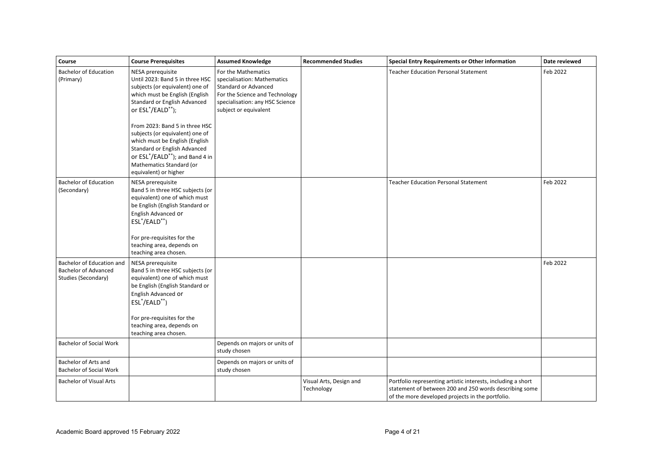| Course                                                                          | <b>Course Prerequisites</b>                                                                                                                                                                                                                                                                                                                                                                                 | <b>Assumed Knowledge</b>                                                                                                                                                        | <b>Recommended Studies</b>            | <b>Special Entry Requirements or Other information</b>                                                                                                                     | Date reviewed |
|---------------------------------------------------------------------------------|-------------------------------------------------------------------------------------------------------------------------------------------------------------------------------------------------------------------------------------------------------------------------------------------------------------------------------------------------------------------------------------------------------------|---------------------------------------------------------------------------------------------------------------------------------------------------------------------------------|---------------------------------------|----------------------------------------------------------------------------------------------------------------------------------------------------------------------------|---------------|
| <b>Bachelor of Education</b><br>(Primary)                                       | NESA prerequisite<br>Until 2023: Band 5 in three HSC<br>subjects (or equivalent) one of<br>which must be English (English<br>Standard or English Advanced<br>or ESL*/EALD**);<br>From 2023: Band 5 in three HSC<br>subjects (or equivalent) one of<br>which must be English (English<br>Standard or English Advanced<br>or ESL*/EALD**); and Band 4 in<br>Mathematics Standard (or<br>equivalent) or higher | For the Mathematics<br>specialisation: Mathematics<br><b>Standard or Advanced</b><br>For the Science and Technology<br>specialisation: any HSC Science<br>subject or equivalent |                                       | <b>Teacher Education Personal Statement</b>                                                                                                                                | Feb 2022      |
| <b>Bachelor of Education</b><br>(Secondary)                                     | NESA prerequisite<br>Band 5 in three HSC subjects (or<br>equivalent) one of which must<br>be English (English Standard or<br>English Advanced Or<br>ESL <sup>*</sup> /EALD <sup>**</sup> )<br>For pre-requisites for the<br>teaching area, depends on<br>teaching area chosen.                                                                                                                              |                                                                                                                                                                                 |                                       | <b>Teacher Education Personal Statement</b>                                                                                                                                | Feb 2022      |
| Bachelor of Education and<br><b>Bachelor of Advanced</b><br>Studies (Secondary) | NESA prerequisite<br>Band 5 in three HSC subjects (or<br>equivalent) one of which must<br>be English (English Standard or<br>English Advanced Or<br>ESL*/EALD**)<br>For pre-requisites for the<br>teaching area, depends on<br>teaching area chosen.                                                                                                                                                        |                                                                                                                                                                                 |                                       |                                                                                                                                                                            | Feb 2022      |
| <b>Bachelor of Social Work</b>                                                  |                                                                                                                                                                                                                                                                                                                                                                                                             | Depends on majors or units of<br>study chosen                                                                                                                                   |                                       |                                                                                                                                                                            |               |
| Bachelor of Arts and<br><b>Bachelor of Social Work</b>                          |                                                                                                                                                                                                                                                                                                                                                                                                             | Depends on majors or units of<br>study chosen                                                                                                                                   |                                       |                                                                                                                                                                            |               |
| <b>Bachelor of Visual Arts</b>                                                  |                                                                                                                                                                                                                                                                                                                                                                                                             |                                                                                                                                                                                 | Visual Arts, Design and<br>Technology | Portfolio representing artistic interests, including a short<br>statement of between 200 and 250 words describing some<br>of the more developed projects in the portfolio. |               |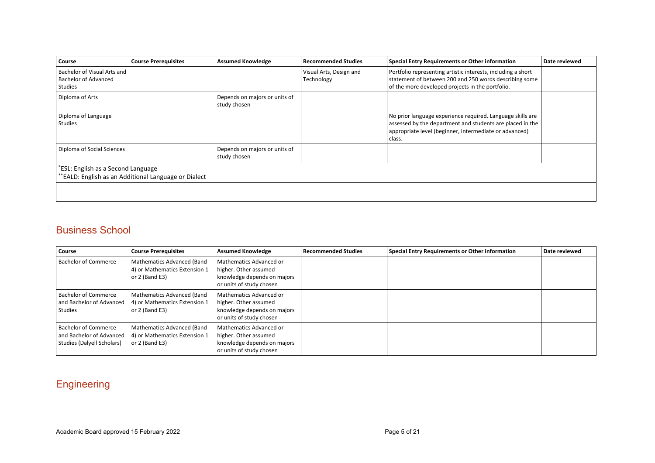| Course                                                                | <b>Course Prerequisites</b>                         | <b>Assumed Knowledge</b>                      | <b>Recommended Studies</b>            | Special Entry Requirements or Other information                                                                                                                                             | Date reviewed |
|-----------------------------------------------------------------------|-----------------------------------------------------|-----------------------------------------------|---------------------------------------|---------------------------------------------------------------------------------------------------------------------------------------------------------------------------------------------|---------------|
| Bachelor of Visual Arts and<br><b>Bachelor of Advanced</b><br>Studies |                                                     |                                               | Visual Arts, Design and<br>Technology | Portfolio representing artistic interests, including a short<br>statement of between 200 and 250 words describing some<br>of the more developed projects in the portfolio.                  |               |
| Diploma of Arts                                                       |                                                     | Depends on majors or units of<br>study chosen |                                       |                                                                                                                                                                                             |               |
| Diploma of Language<br><b>Studies</b>                                 |                                                     |                                               |                                       | No prior language experience required. Language skills are<br>assessed by the department and students are placed in the<br>appropriate level (beginner, intermediate or advanced)<br>class. |               |
| Diploma of Social Sciences                                            |                                                     | Depends on majors or units of<br>study chosen |                                       |                                                                                                                                                                                             |               |
| ESL: English as a Second Language                                     | *EALD: English as an Additional Language or Dialect |                                               |                                       |                                                                                                                                                                                             |               |
|                                                                       |                                                     |                                               |                                       |                                                                                                                                                                                             |               |

### Business School

| Course                                                                                | <b>Course Prerequisites</b>                                                     | <b>Assumed Knowledge</b>                                                                                    | <b>Recommended Studies</b> | Special Entry Requirements or Other information | Date reviewed |
|---------------------------------------------------------------------------------------|---------------------------------------------------------------------------------|-------------------------------------------------------------------------------------------------------------|----------------------------|-------------------------------------------------|---------------|
| <b>Bachelor of Commerce</b>                                                           | Mathematics Advanced (Band<br>4) or Mathematics Extension 1<br>or $2$ (Band E3) | Mathematics Advanced or<br>higher. Other assumed<br>knowledge depends on majors<br>or units of study chosen |                            |                                                 |               |
| <b>Bachelor of Commerce</b><br>and Bachelor of Advanced<br><b>Studies</b>             | Mathematics Advanced (Band<br>4) or Mathematics Extension 1<br>or $2$ (Band E3) | Mathematics Advanced or<br>higher. Other assumed<br>knowledge depends on majors<br>or units of study chosen |                            |                                                 |               |
| <b>Bachelor of Commerce</b><br>and Bachelor of Advanced<br>Studies (Dalyell Scholars) | Mathematics Advanced (Band<br>4) or Mathematics Extension 1<br>or $2$ (Band E3) | Mathematics Advanced or<br>higher. Other assumed<br>knowledge depends on majors<br>or units of study chosen |                            |                                                 |               |

# **Engineering**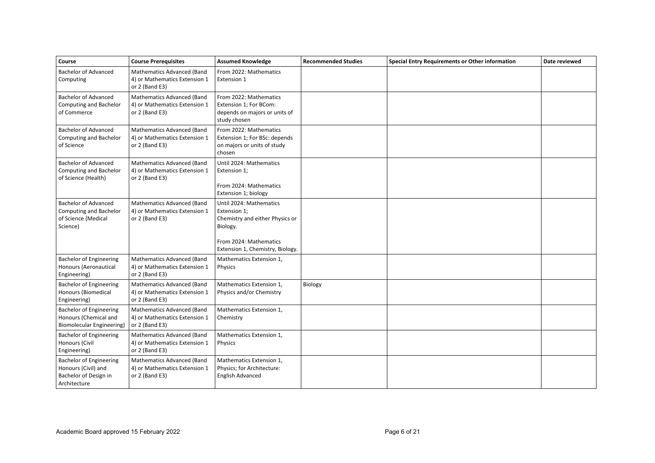| Course                                                                                         | <b>Course Prerequisites</b>                                                            | <b>Assumed Knowledge</b>                                                                                                                             | <b>Recommended Studies</b> | <b>Special Entry Requirements or Other information</b> | Date reviewed |
|------------------------------------------------------------------------------------------------|----------------------------------------------------------------------------------------|------------------------------------------------------------------------------------------------------------------------------------------------------|----------------------------|--------------------------------------------------------|---------------|
| <b>Bachelor of Advanced</b><br>Computing                                                       | <b>Mathematics Advanced (Band</b><br>4) or Mathematics Extension 1<br>or 2 (Band E3)   | From 2022: Mathematics<br>Extension 1                                                                                                                |                            |                                                        |               |
| <b>Bachelor of Advanced</b><br><b>Computing and Bachelor</b><br>of Commerce                    | Mathematics Advanced (Band<br>4) or Mathematics Extension 1<br>or 2 (Band E3)          | From 2022: Mathematics<br>Extension 1; For BCom:<br>depends on majors or units of<br>study chosen                                                    |                            |                                                        |               |
| <b>Bachelor of Advanced</b><br>Computing and Bachelor<br>of Science                            | <b>Mathematics Advanced (Band</b><br>4) or Mathematics Extension 1<br>or $2$ (Band E3) | From 2022: Mathematics<br>Extension 1; For BSc: depends<br>on majors or units of study<br>chosen                                                     |                            |                                                        |               |
| <b>Bachelor of Advanced</b><br>Computing and Bachelor<br>of Science (Health)                   | Mathematics Advanced (Band<br>4) or Mathematics Extension 1<br>or 2 (Band E3)          | Until 2024: Mathematics<br>Extension 1;<br>From 2024: Mathematics<br>Extension 1; biology                                                            |                            |                                                        |               |
| <b>Bachelor of Advanced</b><br>Computing and Bachelor<br>of Science (Medical<br>Science)       | <b>Mathematics Advanced (Band</b><br>4) or Mathematics Extension 1<br>or 2 (Band E3)   | Until 2024: Mathematics<br>Extension 1;<br>Chemistry and either Physics or<br>Biology.<br>From 2024: Mathematics<br>Extension 1, Chemistry, Biology. |                            |                                                        |               |
| <b>Bachelor of Engineering</b><br>Honours (Aeronautical<br>Engineering)                        | <b>Mathematics Advanced (Band</b><br>4) or Mathematics Extension 1<br>or 2 (Band E3)   | Mathematics Extension 1,<br>Physics                                                                                                                  |                            |                                                        |               |
| <b>Bachelor of Engineering</b><br><b>Honours (Biomedical</b><br>Engineering)                   | Mathematics Advanced (Band<br>4) or Mathematics Extension 1<br>or 2 (Band E3)          | Mathematics Extension 1,<br>Physics and/or Chemistry                                                                                                 | Biology                    |                                                        |               |
| <b>Bachelor of Engineering</b><br>Honours (Chemical and<br>Biomolecular Engineering)           | Mathematics Advanced (Band<br>4) or Mathematics Extension 1<br>or 2 (Band E3)          | Mathematics Extension 1,<br>Chemistry                                                                                                                |                            |                                                        |               |
| <b>Bachelor of Engineering</b><br>Honours (Civil<br>Engineering)                               | Mathematics Advanced (Band<br>4) or Mathematics Extension 1<br>or 2 (Band E3)          | Mathematics Extension 1,<br>Physics                                                                                                                  |                            |                                                        |               |
| <b>Bachelor of Engineering</b><br>Honours (Civil) and<br>Bachelor of Design in<br>Architecture | Mathematics Advanced (Band<br>4) or Mathematics Extension 1<br>or $2$ (Band E3)        | Mathematics Extension 1,<br>Physics; for Architecture:<br><b>English Advanced</b>                                                                    |                            |                                                        |               |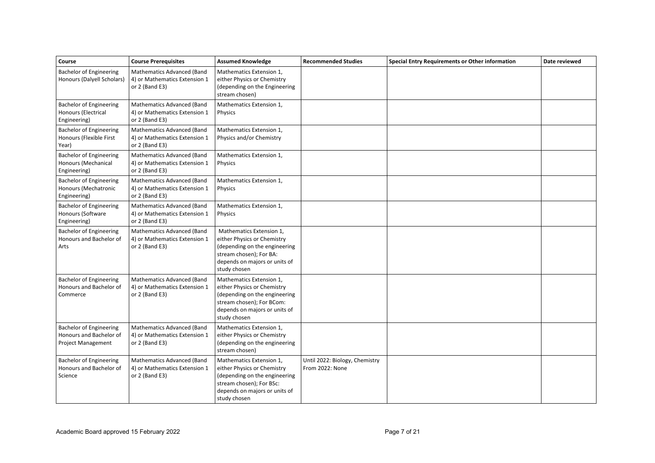| Course                                                                                 | <b>Course Prerequisites</b>                                                   | <b>Assumed Knowledge</b>                                                                                                                                               | <b>Recommended Studies</b>                        | <b>Special Entry Requirements or Other information</b> | Date reviewed |
|----------------------------------------------------------------------------------------|-------------------------------------------------------------------------------|------------------------------------------------------------------------------------------------------------------------------------------------------------------------|---------------------------------------------------|--------------------------------------------------------|---------------|
| <b>Bachelor of Engineering</b><br>Honours (Dalyell Scholars)                           | Mathematics Advanced (Band<br>4) or Mathematics Extension 1<br>or 2 (Band E3) | Mathematics Extension 1,<br>either Physics or Chemistry<br>(depending on the Engineering<br>stream chosen)                                                             |                                                   |                                                        |               |
| <b>Bachelor of Engineering</b><br>Honours (Electrical<br>Engineering)                  | Mathematics Advanced (Band<br>4) or Mathematics Extension 1<br>or 2 (Band E3) | Mathematics Extension 1,<br><b>Physics</b>                                                                                                                             |                                                   |                                                        |               |
| <b>Bachelor of Engineering</b><br>Honours (Flexible First<br>Year)                     | Mathematics Advanced (Band<br>4) or Mathematics Extension 1<br>or 2 (Band E3) | Mathematics Extension 1,<br>Physics and/or Chemistry                                                                                                                   |                                                   |                                                        |               |
| <b>Bachelor of Engineering</b><br>Honours (Mechanical<br>Engineering)                  | Mathematics Advanced (Band<br>4) or Mathematics Extension 1<br>or 2 (Band E3) | Mathematics Extension 1,<br>Physics                                                                                                                                    |                                                   |                                                        |               |
| <b>Bachelor of Engineering</b><br>Honours (Mechatronic<br>Engineering)                 | Mathematics Advanced (Band<br>4) or Mathematics Extension 1<br>or 2 (Band E3) | Mathematics Extension 1,<br>Physics                                                                                                                                    |                                                   |                                                        |               |
| <b>Bachelor of Engineering</b><br>Honours (Software<br>Engineering)                    | Mathematics Advanced (Band<br>4) or Mathematics Extension 1<br>or 2 (Band E3) | Mathematics Extension 1,<br><b>Physics</b>                                                                                                                             |                                                   |                                                        |               |
| <b>Bachelor of Engineering</b><br>Honours and Bachelor of<br>Arts                      | Mathematics Advanced (Band<br>4) or Mathematics Extension 1<br>or 2 (Band E3) | Mathematics Extension 1,<br>either Physics or Chemistry<br>(depending on the engineering<br>stream chosen); For BA:<br>depends on majors or units of<br>study chosen   |                                                   |                                                        |               |
| <b>Bachelor of Engineering</b><br>Honours and Bachelor of<br>Commerce                  | Mathematics Advanced (Band<br>4) or Mathematics Extension 1<br>or 2 (Band E3) | Mathematics Extension 1,<br>either Physics or Chemistry<br>(depending on the engineering<br>stream chosen); For BCom:<br>depends on majors or units of<br>study chosen |                                                   |                                                        |               |
| <b>Bachelor of Engineering</b><br>Honours and Bachelor of<br><b>Project Management</b> | Mathematics Advanced (Band<br>4) or Mathematics Extension 1<br>or 2 (Band E3) | Mathematics Extension 1,<br>either Physics or Chemistry<br>(depending on the engineering<br>stream chosen)                                                             |                                                   |                                                        |               |
| <b>Bachelor of Engineering</b><br>Honours and Bachelor of<br>Science                   | Mathematics Advanced (Band<br>4) or Mathematics Extension 1<br>or 2 (Band E3) | Mathematics Extension 1,<br>either Physics or Chemistry<br>(depending on the engineering<br>stream chosen); For BSc:<br>depends on majors or units of<br>study chosen  | Until 2022: Biology, Chemistry<br>From 2022: None |                                                        |               |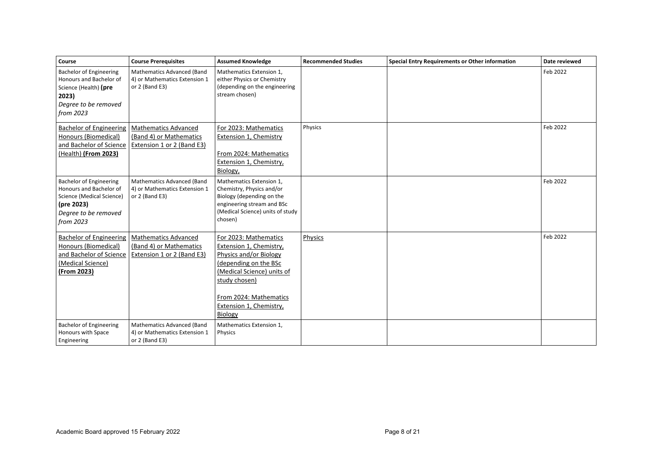| Course                                                                                                                                    | <b>Course Prerequisites</b>                                                          | <b>Assumed Knowledge</b>                                                                                                                                                                                           | <b>Recommended Studies</b> | Special Entry Requirements or Other information | Date reviewed |
|-------------------------------------------------------------------------------------------------------------------------------------------|--------------------------------------------------------------------------------------|--------------------------------------------------------------------------------------------------------------------------------------------------------------------------------------------------------------------|----------------------------|-------------------------------------------------|---------------|
| <b>Bachelor of Engineering</b><br>Honours and Bachelor of<br>Science (Health) (pre<br>2023)<br>Degree to be removed<br>from 2023          | Mathematics Advanced (Band<br>4) or Mathematics Extension 1<br>or 2 (Band E3)        | Mathematics Extension 1,<br>either Physics or Chemistry<br>(depending on the engineering<br>stream chosen)                                                                                                         |                            |                                                 | Feb 2022      |
| <b>Bachelor of Engineering</b><br>Honours (Biomedical)<br>and Bachelor of Science<br>(Health) (From 2023)                                 | <b>Mathematics Advanced</b><br>(Band 4) or Mathematics<br>Extension 1 or 2 (Band E3) | For 2023: Mathematics<br><b>Extension 1, Chemistry</b><br>From 2024: Mathematics<br>Extension 1, Chemistry,<br>Biology,                                                                                            | Physics                    |                                                 | Feb 2022      |
| <b>Bachelor of Engineering</b><br>Honours and Bachelor of<br>Science (Medical Science)<br>(pre 2023)<br>Degree to be removed<br>from 2023 | <b>Mathematics Advanced (Band</b><br>4) or Mathematics Extension 1<br>or 2 (Band E3) | Mathematics Extension 1,<br>Chemistry, Physics and/or<br>Biology (depending on the<br>engineering stream and BSc<br>(Medical Science) units of study<br>chosen)                                                    |                            |                                                 | Feb 2022      |
| <b>Bachelor of Engineering</b><br>Honours (Biomedical)<br>and Bachelor of Science<br>(Medical Science)<br>(From 2023)                     | <b>Mathematics Advanced</b><br>(Band 4) or Mathematics<br>Extension 1 or 2 (Band E3) | For 2023: Mathematics<br>Extension 1, Chemistry,<br>Physics and/or Biology<br>(depending on the BSc<br>(Medical Science) units of<br>study chosen)<br>From 2024: Mathematics<br>Extension 1, Chemistry,<br>Biology | Physics                    |                                                 | Feb 2022      |
| <b>Bachelor of Engineering</b><br>Honours with Space<br>Engineering                                                                       | Mathematics Advanced (Band<br>4) or Mathematics Extension 1<br>or 2 (Band E3)        | Mathematics Extension 1,<br>Physics                                                                                                                                                                                |                            |                                                 |               |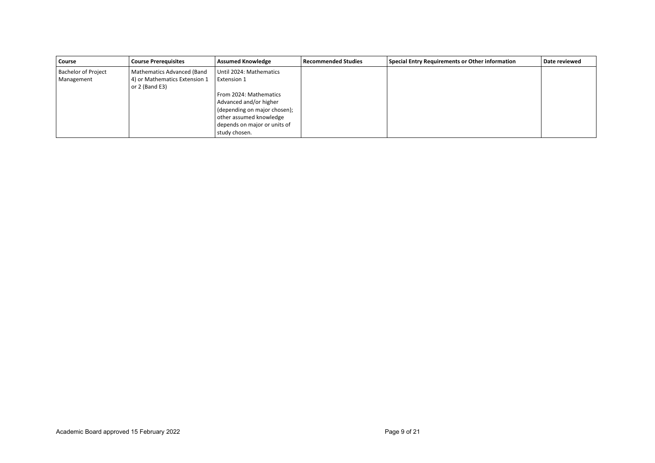| Course                     | <b>Course Prerequisites</b>   | <b>Assumed Knowledge</b>     | <b>Recommended Studies</b> | <b>Special Entry Requirements or Other information</b> | Date reviewed |
|----------------------------|-------------------------------|------------------------------|----------------------------|--------------------------------------------------------|---------------|
| <b>Bachelor of Project</b> | Mathematics Advanced (Band    | Until 2024: Mathematics      |                            |                                                        |               |
| Management                 | 4) or Mathematics Extension 1 | Extension 1                  |                            |                                                        |               |
|                            | or $2$ (Band E3)              |                              |                            |                                                        |               |
|                            |                               | From 2024: Mathematics       |                            |                                                        |               |
|                            |                               | Advanced and/or higher       |                            |                                                        |               |
|                            |                               | (depending on major chosen); |                            |                                                        |               |
|                            |                               | other assumed knowledge      |                            |                                                        |               |
|                            |                               | depends on major or units of |                            |                                                        |               |
|                            |                               | study chosen.                |                            |                                                        |               |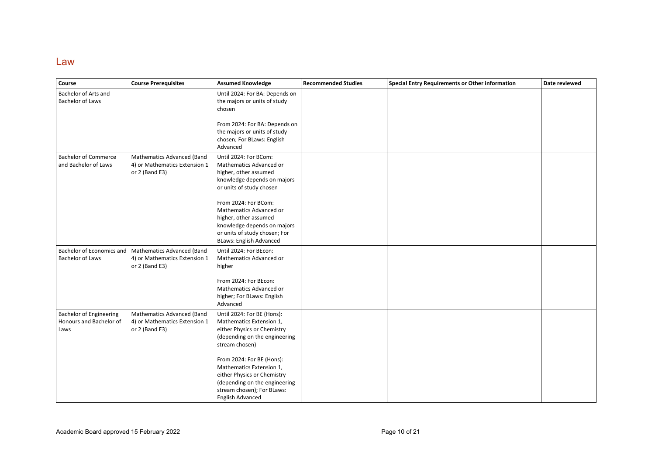#### Law

| Course                                                            | <b>Course Prerequisites</b>                                                                                 | <b>Assumed Knowledge</b>                                                                                                                                                       | <b>Recommended Studies</b> | Special Entry Requirements or Other information | Date reviewed |
|-------------------------------------------------------------------|-------------------------------------------------------------------------------------------------------------|--------------------------------------------------------------------------------------------------------------------------------------------------------------------------------|----------------------------|-------------------------------------------------|---------------|
| Bachelor of Arts and<br><b>Bachelor of Laws</b>                   |                                                                                                             | Until 2024: For BA: Depends on<br>the majors or units of study<br>chosen                                                                                                       |                            |                                                 |               |
|                                                                   |                                                                                                             | From 2024: For BA: Depends on<br>the majors or units of study<br>chosen; For BLaws: English<br>Advanced                                                                        |                            |                                                 |               |
| <b>Bachelor of Commerce</b><br>and Bachelor of Laws               | Mathematics Advanced (Band<br>4) or Mathematics Extension 1<br>or 2 (Band E3)                               | Until 2024: For BCom:<br>Mathematics Advanced or<br>higher, other assumed<br>knowledge depends on majors<br>or units of study chosen                                           |                            |                                                 |               |
|                                                                   |                                                                                                             | From 2024: For BCom:<br>Mathematics Advanced or<br>higher, other assumed<br>knowledge depends on majors<br>or units of study chosen; For<br><b>BLaws: English Advanced</b>     |                            |                                                 |               |
| <b>Bachelor of Laws</b>                                           | Bachelor of Economics and   Mathematics Advanced (Band<br>4) or Mathematics Extension 1<br>or $2$ (Band E3) | Until 2024: For BEcon:<br>Mathematics Advanced or<br>higher<br>From 2024: For BEcon:<br>Mathematics Advanced or                                                                |                            |                                                 |               |
|                                                                   |                                                                                                             | higher; For BLaws: English<br>Advanced                                                                                                                                         |                            |                                                 |               |
| <b>Bachelor of Engineering</b><br>Honours and Bachelor of<br>Laws | Mathematics Advanced (Band<br>4) or Mathematics Extension 1<br>or $2$ (Band E3)                             | Until 2024: For BE (Hons):<br>Mathematics Extension 1,<br>either Physics or Chemistry<br>(depending on the engineering<br>stream chosen)                                       |                            |                                                 |               |
|                                                                   |                                                                                                             | From 2024: For BE (Hons):<br>Mathematics Extension 1,<br>either Physics or Chemistry<br>(depending on the engineering<br>stream chosen); For BLaws:<br><b>English Advanced</b> |                            |                                                 |               |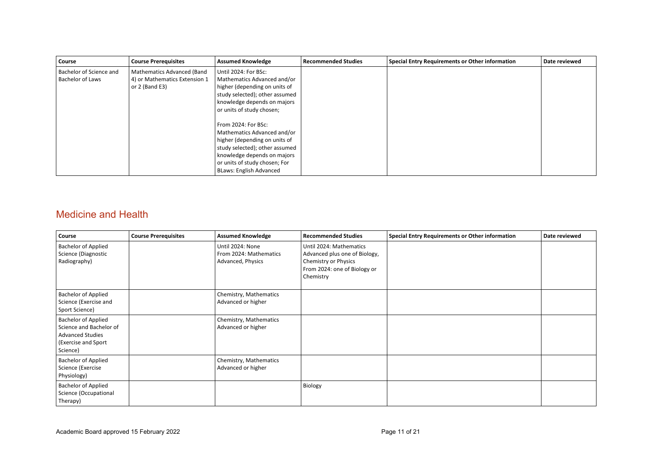| Course                  | <b>Course Prerequisites</b>   | <b>Assumed Knowledge</b>       | <b>Recommended Studies</b> | Special Entry Requirements or Other information | Date reviewed |
|-------------------------|-------------------------------|--------------------------------|----------------------------|-------------------------------------------------|---------------|
| Bachelor of Science and | Mathematics Advanced (Band    | Until 2024: For BSc:           |                            |                                                 |               |
| <b>Bachelor of Laws</b> | 4) or Mathematics Extension 1 | Mathematics Advanced and/or    |                            |                                                 |               |
|                         | or $2$ (Band E3)              | higher (depending on units of  |                            |                                                 |               |
|                         |                               | study selected); other assumed |                            |                                                 |               |
|                         |                               | knowledge depends on majors    |                            |                                                 |               |
|                         |                               | or units of study chosen;      |                            |                                                 |               |
|                         |                               |                                |                            |                                                 |               |
|                         |                               | From 2024: For BSc:            |                            |                                                 |               |
|                         |                               | Mathematics Advanced and/or    |                            |                                                 |               |
|                         |                               | higher (depending on units of  |                            |                                                 |               |
|                         |                               | study selected); other assumed |                            |                                                 |               |
|                         |                               | knowledge depends on majors    |                            |                                                 |               |
|                         |                               | or units of study chosen; For  |                            |                                                 |               |
|                         |                               | <b>BLaws: English Advanced</b> |                            |                                                 |               |

### Medicine and Health

| Course                                                                                                              | <b>Course Prerequisites</b> | <b>Assumed Knowledge</b>                                        | <b>Recommended Studies</b>                                                                                                    | Special Entry Requirements or Other information | Date reviewed |
|---------------------------------------------------------------------------------------------------------------------|-----------------------------|-----------------------------------------------------------------|-------------------------------------------------------------------------------------------------------------------------------|-------------------------------------------------|---------------|
| <b>Bachelor of Applied</b><br>Science (Diagnostic<br>Radiography)                                                   |                             | Until 2024: None<br>From 2024: Mathematics<br>Advanced, Physics | Until 2024: Mathematics<br>Advanced plus one of Biology,<br>Chemistry or Physics<br>From 2024: one of Biology or<br>Chemistry |                                                 |               |
| Bachelor of Applied<br>Science (Exercise and<br>Sport Science)                                                      |                             | Chemistry, Mathematics<br>Advanced or higher                    |                                                                                                                               |                                                 |               |
| <b>Bachelor of Applied</b><br>Science and Bachelor of<br><b>Advanced Studies</b><br>(Exercise and Sport<br>Science) |                             | Chemistry, Mathematics<br>Advanced or higher                    |                                                                                                                               |                                                 |               |
| Bachelor of Applied<br>Science (Exercise<br>Physiology)                                                             |                             | Chemistry, Mathematics<br>Advanced or higher                    |                                                                                                                               |                                                 |               |
| <b>Bachelor of Applied</b><br>Science (Occupational<br>Therapy)                                                     |                             |                                                                 | Biology                                                                                                                       |                                                 |               |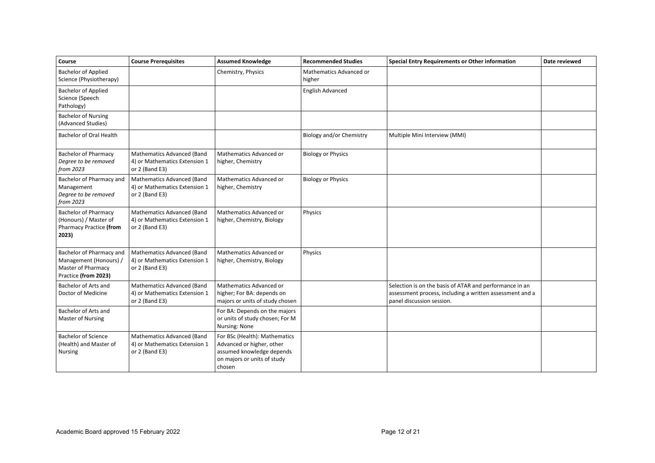| Course                                                                                           | <b>Course Prerequisites</b>                                                            | <b>Assumed Knowledge</b>                                                                                                         | <b>Recommended Studies</b>        | <b>Special Entry Requirements or Other information</b>                                                                                           | Date reviewed |
|--------------------------------------------------------------------------------------------------|----------------------------------------------------------------------------------------|----------------------------------------------------------------------------------------------------------------------------------|-----------------------------------|--------------------------------------------------------------------------------------------------------------------------------------------------|---------------|
| <b>Bachelor of Applied</b><br>Science (Physiotherapy)                                            |                                                                                        | Chemistry, Physics                                                                                                               | Mathematics Advanced or<br>higher |                                                                                                                                                  |               |
| <b>Bachelor of Applied</b><br>Science (Speech<br>Pathology)                                      |                                                                                        |                                                                                                                                  | <b>English Advanced</b>           |                                                                                                                                                  |               |
| <b>Bachelor of Nursing</b><br>(Advanced Studies)                                                 |                                                                                        |                                                                                                                                  |                                   |                                                                                                                                                  |               |
| Bachelor of Oral Health                                                                          |                                                                                        |                                                                                                                                  | Biology and/or Chemistry          | Multiple Mini Interview (MMI)                                                                                                                    |               |
| <b>Bachelor of Pharmacy</b><br>Degree to be removed<br>from 2023                                 | Mathematics Advanced (Band<br>4) or Mathematics Extension 1<br>or 2 (Band E3)          | Mathematics Advanced or<br>higher, Chemistry                                                                                     | <b>Biology or Physics</b>         |                                                                                                                                                  |               |
| Bachelor of Pharmacy and<br>Management<br>Degree to be removed<br>from 2023                      | Mathematics Advanced (Band<br>4) or Mathematics Extension 1<br>or $2$ (Band E3)        | Mathematics Advanced or<br>higher, Chemistry                                                                                     | <b>Biology or Physics</b>         |                                                                                                                                                  |               |
| <b>Bachelor of Pharmacy</b><br>(Honours) / Master of<br>Pharmacy Practice (from<br>2023)         | Mathematics Advanced (Band<br>4) or Mathematics Extension 1<br>or 2 (Band E3)          | Mathematics Advanced or<br>higher, Chemistry, Biology                                                                            | Physics                           |                                                                                                                                                  |               |
| Bachelor of Pharmacy and<br>Management (Honours) /<br>Master of Pharmacy<br>Practice (from 2023) | <b>Mathematics Advanced (Band</b><br>4) or Mathematics Extension 1<br>or $2$ (Band E3) | Mathematics Advanced or<br>higher, Chemistry, Biology                                                                            | Physics                           |                                                                                                                                                  |               |
| Bachelor of Arts and<br>Doctor of Medicine                                                       | Mathematics Advanced (Band<br>4) or Mathematics Extension 1<br>or 2 (Band E3)          | Mathematics Advanced or<br>higher; For BA: depends on<br>majors or units of study chosen                                         |                                   | Selection is on the basis of ATAR and performance in an<br>assessment process, including a written assessment and a<br>panel discussion session. |               |
| Bachelor of Arts and<br>Master of Nursing                                                        |                                                                                        | For BA: Depends on the majors<br>or units of study chosen; For M<br>Nursing: None                                                |                                   |                                                                                                                                                  |               |
| <b>Bachelor of Science</b><br>(Health) and Master of<br>Nursing                                  | <b>Mathematics Advanced (Band</b><br>4) or Mathematics Extension 1<br>or $2$ (Band E3) | For BSc (Health): Mathematics<br>Advanced or higher, other<br>assumed knowledge depends<br>on majors or units of study<br>chosen |                                   |                                                                                                                                                  |               |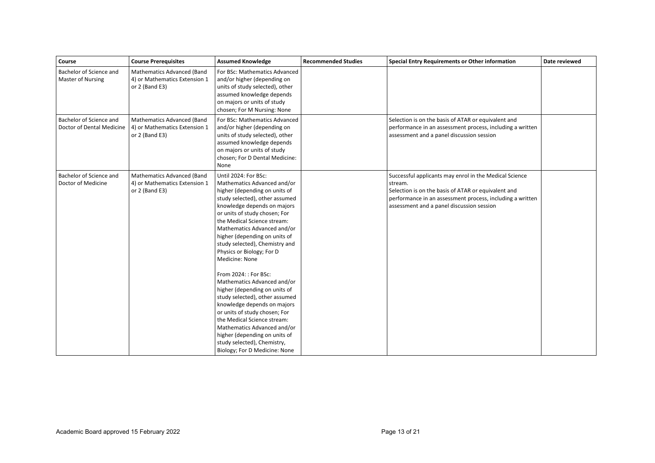| Course                                               | <b>Course Prerequisites</b>                                                     | <b>Assumed Knowledge</b>                                                                                                                                                                                                                                                                                                                                                                                                                                                                                                                                                                                                                                                                                                         | <b>Recommended Studies</b> | <b>Special Entry Requirements or Other information</b>                                                                                                                                                                             | Date reviewed |
|------------------------------------------------------|---------------------------------------------------------------------------------|----------------------------------------------------------------------------------------------------------------------------------------------------------------------------------------------------------------------------------------------------------------------------------------------------------------------------------------------------------------------------------------------------------------------------------------------------------------------------------------------------------------------------------------------------------------------------------------------------------------------------------------------------------------------------------------------------------------------------------|----------------------------|------------------------------------------------------------------------------------------------------------------------------------------------------------------------------------------------------------------------------------|---------------|
| Bachelor of Science and<br>Master of Nursing         | Mathematics Advanced (Band<br>4) or Mathematics Extension 1<br>or $2$ (Band E3) | For BSc: Mathematics Advanced<br>and/or higher (depending on<br>units of study selected), other<br>assumed knowledge depends<br>on majors or units of study<br>chosen; For M Nursing: None                                                                                                                                                                                                                                                                                                                                                                                                                                                                                                                                       |                            |                                                                                                                                                                                                                                    |               |
| Bachelor of Science and<br>Doctor of Dental Medicine | Mathematics Advanced (Band<br>4) or Mathematics Extension 1<br>or $2$ (Band E3) | For BSc: Mathematics Advanced<br>and/or higher (depending on<br>units of study selected), other<br>assumed knowledge depends<br>on majors or units of study<br>chosen; For D Dental Medicine:<br>None                                                                                                                                                                                                                                                                                                                                                                                                                                                                                                                            |                            | Selection is on the basis of ATAR or equivalent and<br>performance in an assessment process, including a written<br>assessment and a panel discussion session                                                                      |               |
| Bachelor of Science and<br>Doctor of Medicine        | Mathematics Advanced (Band<br>4) or Mathematics Extension 1<br>or 2 (Band E3)   | Until 2024: For BSc:<br>Mathematics Advanced and/or<br>higher (depending on units of<br>study selected), other assumed<br>knowledge depends on majors<br>or units of study chosen; For<br>the Medical Science stream:<br>Mathematics Advanced and/or<br>higher (depending on units of<br>study selected), Chemistry and<br>Physics or Biology; For D<br>Medicine: None<br>From 2024: : For BSc:<br>Mathematics Advanced and/or<br>higher (depending on units of<br>study selected), other assumed<br>knowledge depends on majors<br>or units of study chosen; For<br>the Medical Science stream:<br>Mathematics Advanced and/or<br>higher (depending on units of<br>study selected), Chemistry,<br>Biology; For D Medicine: None |                            | Successful applicants may enrol in the Medical Science<br>stream.<br>Selection is on the basis of ATAR or equivalent and<br>performance in an assessment process, including a written<br>assessment and a panel discussion session |               |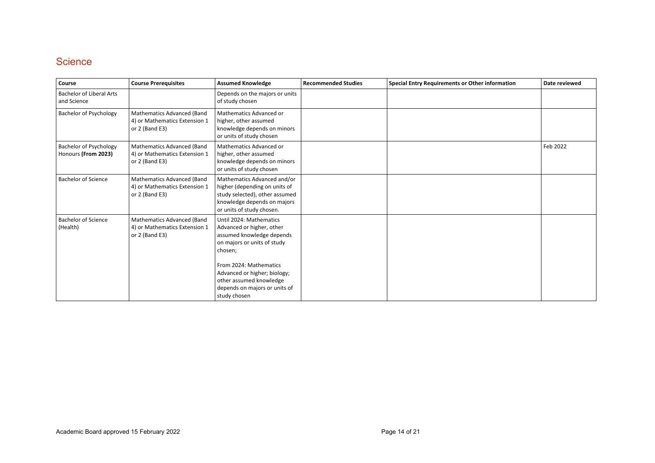## **Science**

| Course                                        | <b>Course Prerequisites</b>                                                     | <b>Assumed Knowledge</b>                                                                                                                                                                                                                                          | <b>Recommended Studies</b> | <b>Special Entry Requirements or Other information</b> | Date reviewed |
|-----------------------------------------------|---------------------------------------------------------------------------------|-------------------------------------------------------------------------------------------------------------------------------------------------------------------------------------------------------------------------------------------------------------------|----------------------------|--------------------------------------------------------|---------------|
| Bachelor of Liberal Arts<br>and Science       |                                                                                 | Depends on the majors or units<br>of study chosen                                                                                                                                                                                                                 |                            |                                                        |               |
| <b>Bachelor of Psychology</b>                 | Mathematics Advanced (Band<br>4) or Mathematics Extension 1<br>or 2 (Band E3)   | Mathematics Advanced or<br>higher, other assumed<br>knowledge depends on minors<br>or units of study chosen                                                                                                                                                       |                            |                                                        |               |
| Bachelor of Psychology<br>Honours (From 2023) | Mathematics Advanced (Band<br>4) or Mathematics Extension 1<br>or 2 (Band E3)   | Mathematics Advanced or<br>higher, other assumed<br>knowledge depends on minors<br>or units of study chosen                                                                                                                                                       |                            |                                                        | Feb 2022      |
| <b>Bachelor of Science</b>                    | Mathematics Advanced (Band<br>4) or Mathematics Extension 1<br>or $2$ (Band E3) | Mathematics Advanced and/or<br>higher (depending on units of<br>study selected), other assumed<br>knowledge depends on majors<br>or units of study chosen.                                                                                                        |                            |                                                        |               |
| <b>Bachelor of Science</b><br>(Health)        | Mathematics Advanced (Band<br>4) or Mathematics Extension 1<br>or $2$ (Band E3) | Until 2024: Mathematics<br>Advanced or higher, other<br>assumed knowledge depends<br>on majors or units of study<br>chosen;<br>From 2024: Mathematics<br>Advanced or higher; biology;<br>other assumed knowledge<br>depends on majors or units of<br>study chosen |                            |                                                        |               |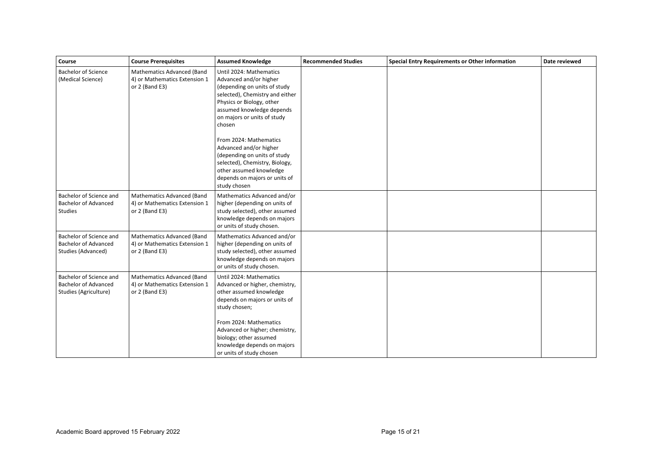| Course                                                                          | <b>Course Prerequisites</b>                                                   | <b>Assumed Knowledge</b>                                                                                                                                                                                                                                                                                                                                                                                                  | <b>Recommended Studies</b> | <b>Special Entry Requirements or Other information</b> | Date reviewed |
|---------------------------------------------------------------------------------|-------------------------------------------------------------------------------|---------------------------------------------------------------------------------------------------------------------------------------------------------------------------------------------------------------------------------------------------------------------------------------------------------------------------------------------------------------------------------------------------------------------------|----------------------------|--------------------------------------------------------|---------------|
| <b>Bachelor of Science</b><br>(Medical Science)                                 | Mathematics Advanced (Band<br>4) or Mathematics Extension 1<br>or 2 (Band E3) | Until 2024: Mathematics<br>Advanced and/or higher<br>(depending on units of study<br>selected), Chemistry and either<br>Physics or Biology, other<br>assumed knowledge depends<br>on majors or units of study<br>chosen<br>From 2024: Mathematics<br>Advanced and/or higher<br>(depending on units of study<br>selected), Chemistry, Biology,<br>other assumed knowledge<br>depends on majors or units of<br>study chosen |                            |                                                        |               |
| Bachelor of Science and<br><b>Bachelor of Advanced</b><br><b>Studies</b>        | Mathematics Advanced (Band<br>4) or Mathematics Extension 1<br>or 2 (Band E3) | Mathematics Advanced and/or<br>higher (depending on units of<br>study selected), other assumed<br>knowledge depends on majors<br>or units of study chosen.                                                                                                                                                                                                                                                                |                            |                                                        |               |
| Bachelor of Science and<br><b>Bachelor of Advanced</b><br>Studies (Advanced)    | Mathematics Advanced (Band<br>4) or Mathematics Extension 1<br>or 2 (Band E3) | Mathematics Advanced and/or<br>higher (depending on units of<br>study selected), other assumed<br>knowledge depends on majors<br>or units of study chosen.                                                                                                                                                                                                                                                                |                            |                                                        |               |
| Bachelor of Science and<br><b>Bachelor of Advanced</b><br>Studies (Agriculture) | Mathematics Advanced (Band<br>4) or Mathematics Extension 1<br>or 2 (Band E3) | Until 2024: Mathematics<br>Advanced or higher, chemistry,<br>other assumed knowledge<br>depends on majors or units of<br>study chosen;<br>From 2024: Mathematics<br>Advanced or higher; chemistry,<br>biology; other assumed<br>knowledge depends on majors<br>or units of study chosen                                                                                                                                   |                            |                                                        |               |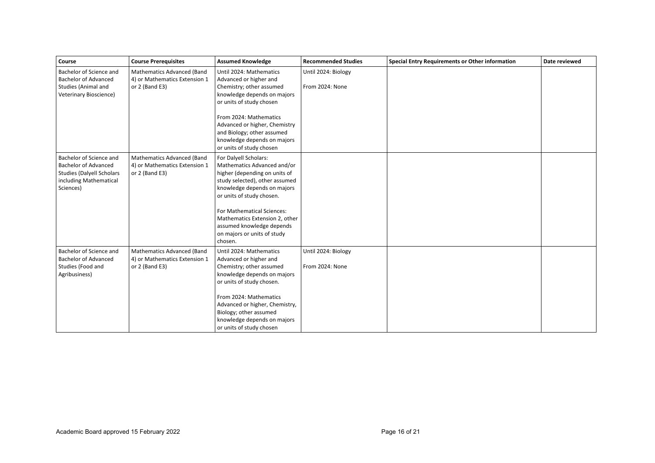| Course                                                                                                                            | <b>Course Prerequisites</b>                                                     | <b>Assumed Knowledge</b>                                                                                                                                                                                                                                                                                                   | <b>Recommended Studies</b>             | <b>Special Entry Requirements or Other information</b> | Date reviewed |
|-----------------------------------------------------------------------------------------------------------------------------------|---------------------------------------------------------------------------------|----------------------------------------------------------------------------------------------------------------------------------------------------------------------------------------------------------------------------------------------------------------------------------------------------------------------------|----------------------------------------|--------------------------------------------------------|---------------|
| Bachelor of Science and<br><b>Bachelor of Advanced</b><br>Studies (Animal and<br>Veterinary Bioscience)                           | Mathematics Advanced (Band<br>4) or Mathematics Extension 1<br>or 2 (Band E3)   | Until 2024: Mathematics<br>Advanced or higher and<br>Chemistry; other assumed<br>knowledge depends on majors<br>or units of study chosen<br>From 2024: Mathematics<br>Advanced or higher, Chemistry<br>and Biology; other assumed<br>knowledge depends on majors<br>or units of study chosen                               | Until 2024: Biology<br>From 2024: None |                                                        |               |
| Bachelor of Science and<br><b>Bachelor of Advanced</b><br><b>Studies (Dalyell Scholars</b><br>including Mathematical<br>Sciences) | Mathematics Advanced (Band<br>4) or Mathematics Extension 1<br>or $2$ (Band E3) | For Dalyell Scholars:<br>Mathematics Advanced and/or<br>higher (depending on units of<br>study selected), other assumed<br>knowledge depends on majors<br>or units of study chosen.<br>For Mathematical Sciences:<br>Mathematics Extension 2, other<br>assumed knowledge depends<br>on majors or units of study<br>chosen. |                                        |                                                        |               |
| Bachelor of Science and<br><b>Bachelor of Advanced</b><br>Studies (Food and<br>Agribusiness)                                      | Mathematics Advanced (Band<br>4) or Mathematics Extension 1<br>or 2 (Band E3)   | Until 2024: Mathematics<br>Advanced or higher and<br>Chemistry; other assumed<br>knowledge depends on majors<br>or units of study chosen.<br>From 2024: Mathematics<br>Advanced or higher, Chemistry,<br>Biology; other assumed<br>knowledge depends on majors<br>or units of study chosen                                 | Until 2024: Biology<br>From 2024: None |                                                        |               |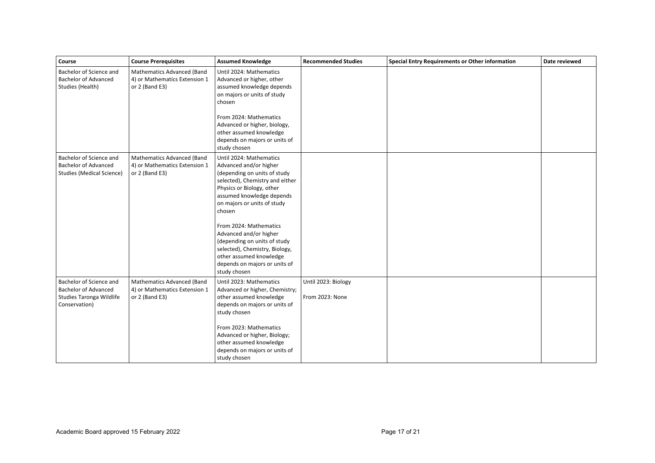| Course                                                                                              | <b>Course Prerequisites</b>                                                          | <b>Assumed Knowledge</b>                                                                                                                                                                                                                                                                                                                                                                                                  | <b>Recommended Studies</b>             | <b>Special Entry Requirements or Other information</b> | Date reviewed |
|-----------------------------------------------------------------------------------------------------|--------------------------------------------------------------------------------------|---------------------------------------------------------------------------------------------------------------------------------------------------------------------------------------------------------------------------------------------------------------------------------------------------------------------------------------------------------------------------------------------------------------------------|----------------------------------------|--------------------------------------------------------|---------------|
| Bachelor of Science and<br><b>Bachelor of Advanced</b><br>Studies (Health)                          | Mathematics Advanced (Band<br>4) or Mathematics Extension 1<br>or 2 (Band E3)        | Until 2024: Mathematics<br>Advanced or higher, other<br>assumed knowledge depends<br>on majors or units of study<br>chosen<br>From 2024: Mathematics<br>Advanced or higher, biology,<br>other assumed knowledge<br>depends on majors or units of<br>study chosen                                                                                                                                                          |                                        |                                                        |               |
| Bachelor of Science and<br><b>Bachelor of Advanced</b><br><b>Studies (Medical Science)</b>          | <b>Mathematics Advanced (Band</b><br>4) or Mathematics Extension 1<br>or 2 (Band E3) | Until 2024: Mathematics<br>Advanced and/or higher<br>(depending on units of study<br>selected), Chemistry and either<br>Physics or Biology, other<br>assumed knowledge depends<br>on majors or units of study<br>chosen<br>From 2024: Mathematics<br>Advanced and/or higher<br>(depending on units of study<br>selected), Chemistry, Biology,<br>other assumed knowledge<br>depends on majors or units of<br>study chosen |                                        |                                                        |               |
| Bachelor of Science and<br><b>Bachelor of Advanced</b><br>Studies Taronga Wildlife<br>Conservation) | Mathematics Advanced (Band<br>4) or Mathematics Extension 1<br>or 2 (Band E3)        | Until 2023: Mathematics<br>Advanced or higher, Chemistry;<br>other assumed knowledge<br>depends on majors or units of<br>study chosen<br>From 2023: Mathematics<br>Advanced or higher, Biology;<br>other assumed knowledge<br>depends on majors or units of<br>study chosen                                                                                                                                               | Until 2023: Biology<br>From 2023: None |                                                        |               |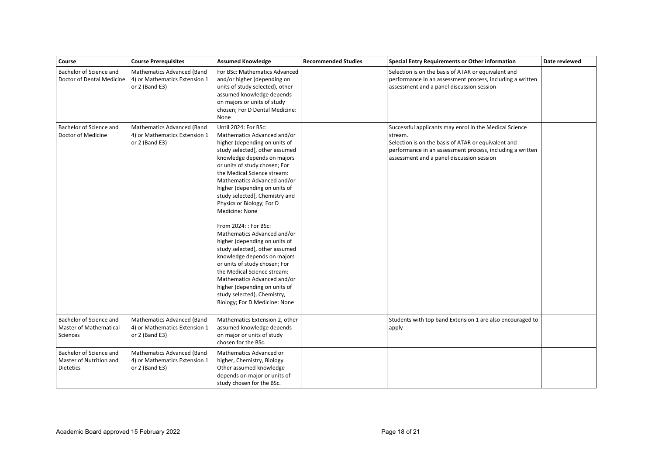| Course                                                                 | <b>Course Prerequisites</b>                                                          | <b>Assumed Knowledge</b>                                                                                                                                                                                                                                                                                                                                                                                                                                                                                                                                                                                                                                                                                                         | <b>Recommended Studies</b> | <b>Special Entry Requirements or Other information</b>                                                                                                                                                                             | Date reviewed |
|------------------------------------------------------------------------|--------------------------------------------------------------------------------------|----------------------------------------------------------------------------------------------------------------------------------------------------------------------------------------------------------------------------------------------------------------------------------------------------------------------------------------------------------------------------------------------------------------------------------------------------------------------------------------------------------------------------------------------------------------------------------------------------------------------------------------------------------------------------------------------------------------------------------|----------------------------|------------------------------------------------------------------------------------------------------------------------------------------------------------------------------------------------------------------------------------|---------------|
| Bachelor of Science and<br>Doctor of Dental Medicine                   | <b>Mathematics Advanced (Band</b><br>4) or Mathematics Extension 1<br>or 2 (Band E3) | For BSc: Mathematics Advanced<br>and/or higher (depending on<br>units of study selected), other<br>assumed knowledge depends<br>on majors or units of study<br>chosen; For D Dental Medicine:<br>None                                                                                                                                                                                                                                                                                                                                                                                                                                                                                                                            |                            | Selection is on the basis of ATAR or equivalent and<br>performance in an assessment process, including a written<br>assessment and a panel discussion session                                                                      |               |
| Bachelor of Science and<br>Doctor of Medicine                          | Mathematics Advanced (Band<br>4) or Mathematics Extension 1<br>or 2 (Band E3)        | Until 2024: For BSc:<br>Mathematics Advanced and/or<br>higher (depending on units of<br>study selected), other assumed<br>knowledge depends on majors<br>or units of study chosen; For<br>the Medical Science stream:<br>Mathematics Advanced and/or<br>higher (depending on units of<br>study selected), Chemistry and<br>Physics or Biology; For D<br>Medicine: None<br>From 2024: : For BSc:<br>Mathematics Advanced and/or<br>higher (depending on units of<br>study selected), other assumed<br>knowledge depends on majors<br>or units of study chosen; For<br>the Medical Science stream:<br>Mathematics Advanced and/or<br>higher (depending on units of<br>study selected), Chemistry,<br>Biology; For D Medicine: None |                            | Successful applicants may enrol in the Medical Science<br>stream.<br>Selection is on the basis of ATAR or equivalent and<br>performance in an assessment process, including a written<br>assessment and a panel discussion session |               |
| Bachelor of Science and<br>Master of Mathematical<br><b>Sciences</b>   | Mathematics Advanced (Band<br>4) or Mathematics Extension 1<br>or 2 (Band E3)        | Mathematics Extension 2, other<br>assumed knowledge depends<br>on major or units of study<br>chosen for the BSc.                                                                                                                                                                                                                                                                                                                                                                                                                                                                                                                                                                                                                 |                            | Students with top band Extension 1 are also encouraged to<br>apply                                                                                                                                                                 |               |
| Bachelor of Science and<br>Master of Nutrition and<br><b>Dietetics</b> | Mathematics Advanced (Band<br>4) or Mathematics Extension 1<br>or 2 (Band E3)        | Mathematics Advanced or<br>higher, Chemistry, Biology.<br>Other assumed knowledge<br>depends on major or units of<br>study chosen for the BSc.                                                                                                                                                                                                                                                                                                                                                                                                                                                                                                                                                                                   |                            |                                                                                                                                                                                                                                    |               |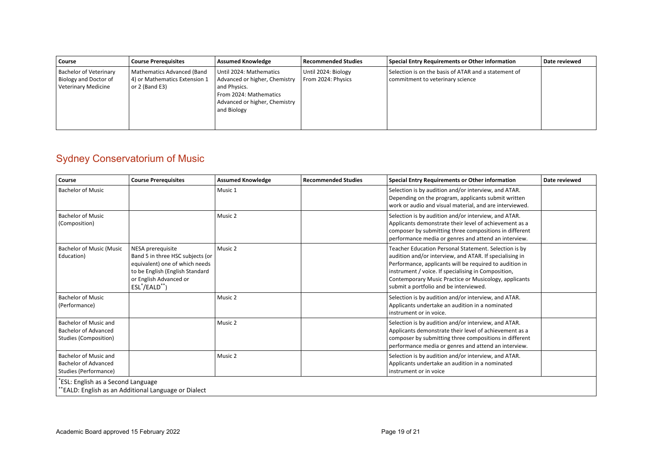| Course                                                                               | <b>Course Prerequisites</b>                                                     | <b>Assumed Knowledge</b>                                                                                                                           | <b>Recommended Studies</b>                | Special Entry Requirements or Other information                                          | Date reviewed |
|--------------------------------------------------------------------------------------|---------------------------------------------------------------------------------|----------------------------------------------------------------------------------------------------------------------------------------------------|-------------------------------------------|------------------------------------------------------------------------------------------|---------------|
| <b>Bachelor of Veterinary</b><br>Biology and Doctor of<br><b>Veterinary Medicine</b> | Mathematics Advanced (Band<br>4) or Mathematics Extension 1<br>or $2$ (Band E3) | Until 2024: Mathematics<br>Advanced or higher, Chemistry<br>and Physics.<br>From 2024: Mathematics<br>Advanced or higher, Chemistry<br>and Biology | Until 2024: Biology<br>From 2024: Physics | Selection is on the basis of ATAR and a statement of<br>commitment to veterinary science |               |

## Sydney Conservatorium of Music

| Course                                                                        | <b>Course Prerequisites</b>                                                                                                                                               | <b>Assumed Knowledge</b> | <b>Recommended Studies</b> | <b>Special Entry Requirements or Other information</b>                                                                                                                                                                                                                                                                                | Date reviewed |
|-------------------------------------------------------------------------------|---------------------------------------------------------------------------------------------------------------------------------------------------------------------------|--------------------------|----------------------------|---------------------------------------------------------------------------------------------------------------------------------------------------------------------------------------------------------------------------------------------------------------------------------------------------------------------------------------|---------------|
| <b>Bachelor of Music</b>                                                      |                                                                                                                                                                           | Music 1                  |                            | Selection is by audition and/or interview, and ATAR.<br>Depending on the program, applicants submit written<br>work or audio and visual material, and are interviewed.                                                                                                                                                                |               |
| <b>Bachelor of Music</b><br>(Composition)                                     |                                                                                                                                                                           | Music 2                  |                            | Selection is by audition and/or interview, and ATAR.<br>Applicants demonstrate their level of achievement as a<br>composer by submitting three compositions in different<br>performance media or genres and attend an interview.                                                                                                      |               |
| <b>Bachelor of Music (Music</b><br>Education)                                 | NESA prerequisite<br>Band 5 in three HSC subjects (or<br>equivalent) one of which needs<br>to be English (English Standard<br>or English Advanced or<br>$ESL^*/EALD^{**}$ | Music 2                  |                            | Teacher Education Personal Statement. Selection is by<br>audition and/or interview, and ATAR. If specialising in<br>Performance, applicants will be required to audition in<br>instrument / voice. If specialising in Composition,<br>Contemporary Music Practice or Musicology, applicants<br>submit a portfolio and be interviewed. |               |
| <b>Bachelor of Music</b><br>(Performance)                                     |                                                                                                                                                                           | Music 2                  |                            | Selection is by audition and/or interview, and ATAR.<br>Applicants undertake an audition in a nominated<br>instrument or in voice.                                                                                                                                                                                                    |               |
| Bachelor of Music and<br><b>Bachelor of Advanced</b><br>Studies (Composition) |                                                                                                                                                                           | Music 2                  |                            | Selection is by audition and/or interview, and ATAR.<br>Applicants demonstrate their level of achievement as a<br>composer by submitting three compositions in different<br>performance media or genres and attend an interview.                                                                                                      |               |
| Bachelor of Music and<br><b>Bachelor of Advanced</b><br>Studies (Performance) |                                                                                                                                                                           | Music 2                  |                            | Selection is by audition and/or interview, and ATAR.<br>Applicants undertake an audition in a nominated<br>instrument or in voice                                                                                                                                                                                                     |               |
| "ESL: English as a Second Language                                            | *EALD: English as an Additional Language or Dialect                                                                                                                       |                          |                            |                                                                                                                                                                                                                                                                                                                                       |               |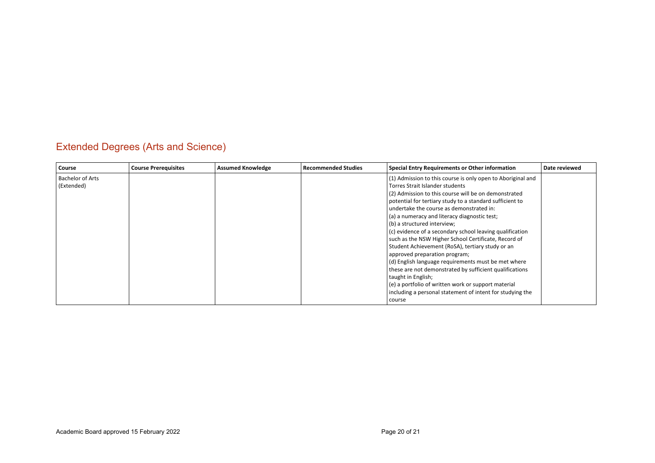## Extended Degrees (Arts and Science)

| Course                                | <b>Course Prerequisites</b> | <b>Assumed Knowledge</b> | <b>Recommended Studies</b> | Special Entry Requirements or Other information                                                                                                                                                                                                                                                                                                                                                                                                                                                                                                                                                                                                                                                                                                                                                                    | Date reviewed |
|---------------------------------------|-----------------------------|--------------------------|----------------------------|--------------------------------------------------------------------------------------------------------------------------------------------------------------------------------------------------------------------------------------------------------------------------------------------------------------------------------------------------------------------------------------------------------------------------------------------------------------------------------------------------------------------------------------------------------------------------------------------------------------------------------------------------------------------------------------------------------------------------------------------------------------------------------------------------------------------|---------------|
| <b>Bachelor of Arts</b><br>(Extended) |                             |                          |                            | (1) Admission to this course is only open to Aboriginal and<br>Torres Strait Islander students<br>(2) Admission to this course will be on demonstrated<br>potential for tertiary study to a standard sufficient to<br>undertake the course as demonstrated in:<br>(a) a numeracy and literacy diagnostic test;<br>(b) a structured interview;<br>(c) evidence of a secondary school leaving qualification<br>such as the NSW Higher School Certificate, Record of<br>Student Achievement (RoSA), tertiary study or an<br>approved preparation program;<br>(d) English language requirements must be met where<br>these are not demonstrated by sufficient qualifications<br>taught in English;<br>(e) a portfolio of written work or support material<br>including a personal statement of intent for studying the |               |
|                                       |                             |                          |                            | course                                                                                                                                                                                                                                                                                                                                                                                                                                                                                                                                                                                                                                                                                                                                                                                                             |               |